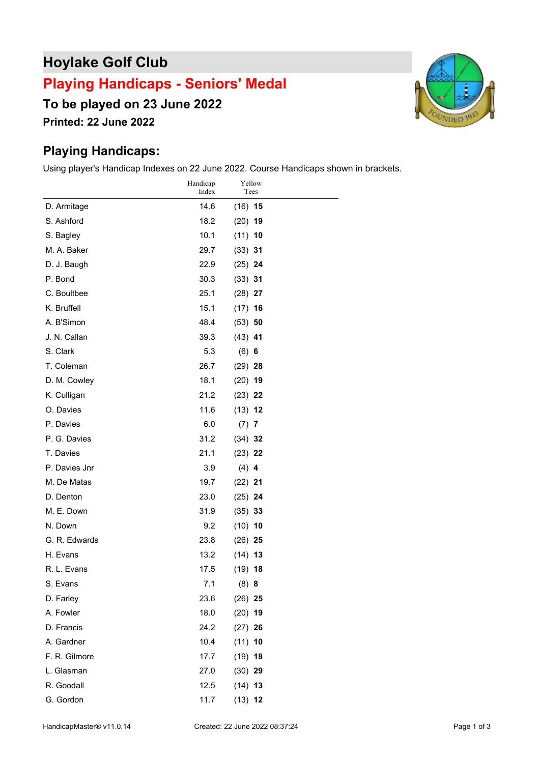## **Hoylake Golf Club**

## **Playing Handicaps - Seniors' Medal**

**To be played on 23 June 2022**

**Printed: 22 June 2022**

## **Playing Handicaps:**

Using player's Handicap Indexes on 22 June 2022. Course Handicaps shown in brackets.

|               | Handicap<br>Index | Yellow<br>Tees |  |
|---------------|-------------------|----------------|--|
| D. Armitage   | 14.6              | $(16)$ 15      |  |
| S. Ashford    | 18.2              | $(20)$ 19      |  |
| S. Bagley     | 10.1              | $(11)$ 10      |  |
| M. A. Baker   | 29.7              | $(33)$ 31      |  |
| D. J. Baugh   | 22.9              | $(25)$ 24      |  |
| P. Bond       | 30.3              | $(33)$ 31      |  |
| C. Boultbee   | 25.1              | $(28)$ 27      |  |
| K. Bruffell   | 15.1              | $(17)$ 16      |  |
| A. B'Simon    | 48.4              | $(53)$ 50      |  |
| J. N. Callan  | 39.3              | $(43)$ 41      |  |
| S. Clark      | 5.3               | (6) 6          |  |
| T. Coleman    | 26.7              | $(29)$ 28      |  |
| D. M. Cowley  | 18.1              | $(20)$ 19      |  |
| K. Culligan   | 21.2              | $(23)$ 22      |  |
| O. Davies     | 11.6              | $(13)$ 12      |  |
| P. Davies     | 6.0               | $(7)$ 7        |  |
| P. G. Davies  | 31.2              | $(34)$ 32      |  |
| T. Davies     | 21.1              | $(23)$ 22      |  |
| P. Davies Jnr | 3.9               | $(4)$ 4        |  |
| M. De Matas   | 19.7              | $(22)$ 21      |  |
| D. Denton     | 23.0              | $(25)$ 24      |  |
| M. E. Down    | 31.9              | $(35)$ 33      |  |
| N. Down       | 9.2               | $(10)$ 10      |  |
| G. R. Edwards | 23.8              | $(26)$ 25      |  |
| H. Evans      | 13.2              | $(14)$ 13      |  |
| R. L. Evans   | 17.5              | $(19)$ 18      |  |
| S. Evans      | 7.1               | $(8)$ 8        |  |
| D. Farley     | 23.6              | $(26)$ 25      |  |
| A. Fowler     | 18.0              | $(20)$ 19      |  |
| D. Francis    | 24.2              | $(27)$ 26      |  |
| A. Gardner    | 10.4              | $(11)$ 10      |  |
| F. R. Gilmore | 17.7              | $(19)$ 18      |  |
| L. Glasman    | 27.0              | $(30)$ 29      |  |
| R. Goodall    | 12.5              | $(14)$ 13      |  |
| G. Gordon     | 11.7              | $(13)$ 12      |  |

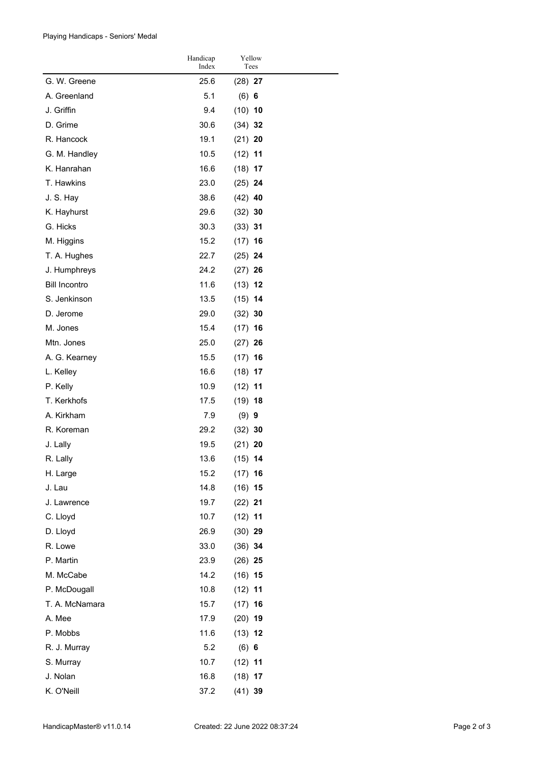Playing Handicaps - Seniors' Medal

|                      | Handicap<br>Index | Yellow<br>Tees |  |
|----------------------|-------------------|----------------|--|
| G. W. Greene         | 25.6              | $(28)$ 27      |  |
| A. Greenland         | 5.1               | (6) 6          |  |
| J. Griffin           | 9.4               | $(10)$ 10      |  |
| D. Grime             | 30.6              | $(34)$ 32      |  |
| R. Hancock           | 19.1              | $(21)$ 20      |  |
| G. M. Handley        | 10.5              | $(12)$ 11      |  |
| K. Hanrahan          | 16.6              | $(18)$ 17      |  |
| T. Hawkins           | 23.0              | $(25)$ 24      |  |
| J. S. Hay            | 38.6              | $(42)$ 40      |  |
| K. Hayhurst          | 29.6              | $(32)$ 30      |  |
| G. Hicks             | 30.3              | $(33)$ 31      |  |
| M. Higgins           | 15.2              | $(17)$ 16      |  |
| T. A. Hughes         | 22.7              | $(25)$ 24      |  |
| J. Humphreys         | 24.2              | $(27)$ 26      |  |
| <b>Bill Incontro</b> | 11.6              | $(13)$ 12      |  |
| S. Jenkinson         | 13.5              | $(15)$ 14      |  |
| D. Jerome            | 29.0              | $(32)$ 30      |  |
| M. Jones             | 15.4              | $(17)$ 16      |  |
| Mtn. Jones           | 25.0              | $(27)$ 26      |  |
| A. G. Kearney        | 15.5              | $(17)$ 16      |  |
| L. Kelley            | 16.6              | $(18)$ 17      |  |
| P. Kelly             | 10.9              | (12)<br>11     |  |
| T. Kerkhofs          | 17.5              | $(19)$ 18      |  |
| A. Kirkham           | 7.9               | $(9)$ 9        |  |
| R. Koreman           | 29.2              | $(32)$ 30      |  |
| J. Lally             | 19.5              | $(21)$ 20      |  |
| R. Lally             | 13.6              | $(15)$ 14      |  |
| H. Large             | 15.2              | $(17)$ 16      |  |
| J. Lau               | 14.8              | $(16)$ 15      |  |
| J. Lawrence          | 19.7              | $(22)$ 21      |  |
| C. Lloyd             | 10.7              | $(12)$ 11      |  |
| D. Lloyd             | 26.9              | $(30)$ 29      |  |
| R. Lowe              | 33.0              | $(36)$ 34      |  |
| P. Martin            | 23.9              | $(26)$ 25      |  |
| M. McCabe            | 14.2              | $(16)$ 15      |  |
| P. McDougall         | 10.8              | $(12)$ 11      |  |
| T. A. McNamara       | 15.7              | $(17)$ 16      |  |
| A. Mee               | 17.9              | $(20)$ 19      |  |
| P. Mobbs             | 11.6              | $(13)$ 12      |  |
| R. J. Murray         | 5.2               | (6) 6          |  |
| S. Murray            | 10.7              | $(12)$ 11      |  |
| J. Nolan             | 16.8              | $(18)$ 17      |  |
| K. O'Neill           | 37.2              | $(41)$ 39      |  |